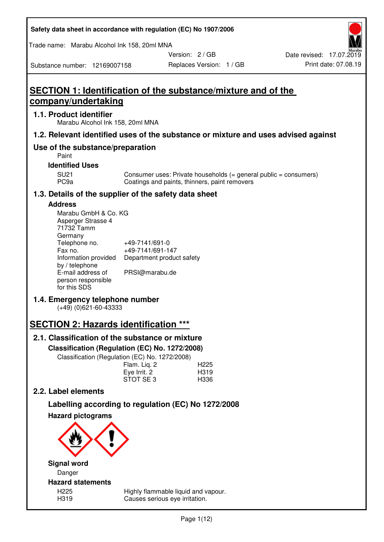| Safety data sheet in accordance with regulation (EC) No 1907/2006 |  |
|-------------------------------------------------------------------|--|
|-------------------------------------------------------------------|--|

Trade name: Marabu Alcohol Ink 158, 20ml MNA

Version: 2 / GB

Substance number: 12169007158

# **SECTION 1: Identification of the substance/mixture and of the company/undertaking**

### **1.1. Product identifier**

Marabu Alcohol Ink 158, 20ml MNA

## **1.2. Relevant identified uses of the substance or mixture and uses advised against**

## **Use of the substance/preparation**

Paint

### **Identified Uses**

SU21 Consumer uses: Private households (= general public = consumers)<br>PC9a Coatings and paints, thinners, paint removers Coatings and paints, thinners, paint removers

## **1.3. Details of the supplier of the safety data sheet**

### **Address**

| Marabu GmbH & Co. KG |                           |
|----------------------|---------------------------|
| Asperger Strasse 4   |                           |
| 71732 Tamm           |                           |
| Germany              |                           |
| Telephone no.        | +49-7141/691-0            |
| Fax no.              | +49-7141/691-147          |
| Information provided | Department product safety |
| by / telephone       |                           |
| E-mail address of    | PRSI@marabu.de            |
| person responsible   |                           |
| for this SDS         |                           |

## **1.4. Emergency telephone number**

(+49) (0)621-60-43333

## **SECTION 2: Hazards identification \*\*\***

## **2.1. Classification of the substance or mixture**

**Classification (Regulation (EC) No. 1272/2008)** 

Classification (Regulation (EC) No. 1272/2008)

|              | . |                  |
|--------------|---|------------------|
| Flam. Liq. 2 |   | H <sub>225</sub> |
| Eye Irrit. 2 |   | H319             |
| STOT SE3     |   | H336             |
|              |   |                  |

## **2.2. Label elements**

# **Labelling according to regulation (EC) No 1272/2008**



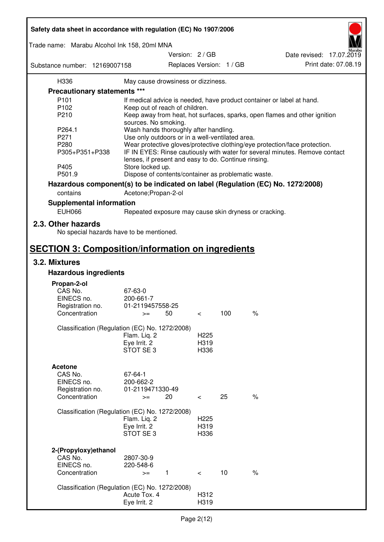| Safety data sheet in accordance with regulation (EC) No 1907/2006 |                                                       |                                             |     |                                                                                 |  |
|-------------------------------------------------------------------|-------------------------------------------------------|---------------------------------------------|-----|---------------------------------------------------------------------------------|--|
| Trade name: Marabu Alcohol Ink 158, 20ml MNA                      |                                                       |                                             |     |                                                                                 |  |
| Substance number: 12169007158                                     |                                                       | Version: 2 / GB<br>Replaces Version: 1 / GB |     | Date revised: 17.07.2019<br>Print date: 07.08.19                                |  |
| H336                                                              | May cause drowsiness or dizziness.                    |                                             |     |                                                                                 |  |
| <b>Precautionary statements ***</b>                               |                                                       |                                             |     |                                                                                 |  |
| P <sub>101</sub>                                                  |                                                       |                                             |     |                                                                                 |  |
| P102                                                              |                                                       |                                             |     | If medical advice is needed, have product container or label at hand.           |  |
|                                                                   | Keep out of reach of children.                        |                                             |     |                                                                                 |  |
| P210                                                              |                                                       |                                             |     | Keep away from heat, hot surfaces, sparks, open flames and other ignition       |  |
|                                                                   | sources. No smoking.                                  |                                             |     |                                                                                 |  |
| P264.1                                                            | Wash hands thoroughly after handling.                 |                                             |     |                                                                                 |  |
| P271                                                              | Use only outdoors or in a well-ventilated area.       |                                             |     |                                                                                 |  |
| P280                                                              |                                                       |                                             |     | Wear protective gloves/protective clothing/eye protection/face protection.      |  |
| P305+P351+P338                                                    | lenses, if present and easy to do. Continue rinsing.  |                                             |     | IF IN EYES: Rinse cautiously with water for several minutes. Remove contact     |  |
| P405                                                              | Store locked up.                                      |                                             |     |                                                                                 |  |
| P501.9                                                            | Dispose of contents/container as problematic waste.   |                                             |     |                                                                                 |  |
|                                                                   |                                                       |                                             |     | Hazardous component(s) to be indicated on label (Regulation (EC) No. 1272/2008) |  |
| contains                                                          | Acetone; Propan-2-ol                                  |                                             |     |                                                                                 |  |
|                                                                   |                                                       |                                             |     |                                                                                 |  |
| <b>Supplemental information</b><br><b>EUH066</b>                  | Repeated exposure may cause skin dryness or cracking. |                                             |     |                                                                                 |  |
| 2.3. Other hazards                                                |                                                       |                                             |     |                                                                                 |  |
| No special hazards have to be mentioned.                          |                                                       |                                             |     |                                                                                 |  |
| <b>SECTION 3: Composition/information on ingredients</b>          |                                                       |                                             |     |                                                                                 |  |
| 3.2. Mixtures                                                     |                                                       |                                             |     |                                                                                 |  |
| <b>Hazardous ingredients</b>                                      |                                                       |                                             |     |                                                                                 |  |
|                                                                   |                                                       |                                             |     |                                                                                 |  |
| Propan-2-ol                                                       |                                                       |                                             |     |                                                                                 |  |
| CAS No.                                                           | 67-63-0                                               |                                             |     |                                                                                 |  |
| EINECS no.                                                        | 200-661-7                                             |                                             |     |                                                                                 |  |
| Registration no.                                                  | 01-2119457558-25                                      |                                             |     |                                                                                 |  |
| Concentration                                                     | 50<br>$>=$                                            | $\,<\,$                                     | 100 | $\%$                                                                            |  |
| Classification (Regulation (EC) No. 1272/2008)                    |                                                       |                                             |     |                                                                                 |  |
|                                                                   | Flam. Liq. 2                                          | H <sub>225</sub>                            |     |                                                                                 |  |
|                                                                   | Eye Irrit. 2                                          | H319                                        |     |                                                                                 |  |
|                                                                   | STOT SE3                                              | H336                                        |     |                                                                                 |  |
|                                                                   |                                                       |                                             |     |                                                                                 |  |
| <b>Acetone</b>                                                    |                                                       |                                             |     |                                                                                 |  |
| CAS No.                                                           | 67-64-1                                               |                                             |     |                                                                                 |  |
| EINECS no.                                                        | 200-662-2                                             |                                             |     |                                                                                 |  |
|                                                                   | 01-2119471330-49                                      |                                             |     |                                                                                 |  |
| Registration no.<br>Concentration                                 | 20                                                    |                                             | 25  | $\%$                                                                            |  |
|                                                                   | $>=$                                                  | $\,<\,$                                     |     |                                                                                 |  |
| Classification (Regulation (EC) No. 1272/2008)                    |                                                       |                                             |     |                                                                                 |  |
|                                                                   | Flam. Liq. 2                                          | H <sub>225</sub>                            |     |                                                                                 |  |
|                                                                   | Eye Irrit. 2                                          | H319                                        |     |                                                                                 |  |
|                                                                   | STOT SE3                                              | H336                                        |     |                                                                                 |  |
|                                                                   |                                                       |                                             |     |                                                                                 |  |
|                                                                   |                                                       |                                             |     |                                                                                 |  |
| 2-(Propyloxy) ethanol<br>CAS No.                                  | 2807-30-9                                             |                                             |     |                                                                                 |  |
| EINECS no.                                                        | 220-548-6                                             |                                             |     |                                                                                 |  |
| Concentration                                                     | $\mathbf{1}$<br>$>=$                                  | $\lt$                                       | 10  | $\%$                                                                            |  |
|                                                                   |                                                       |                                             |     |                                                                                 |  |
| Classification (Regulation (EC) No. 1272/2008)                    |                                                       |                                             |     |                                                                                 |  |
|                                                                   | Acute Tox. 4                                          | H312                                        |     |                                                                                 |  |
|                                                                   | Eye Irrit. 2                                          | H319                                        |     |                                                                                 |  |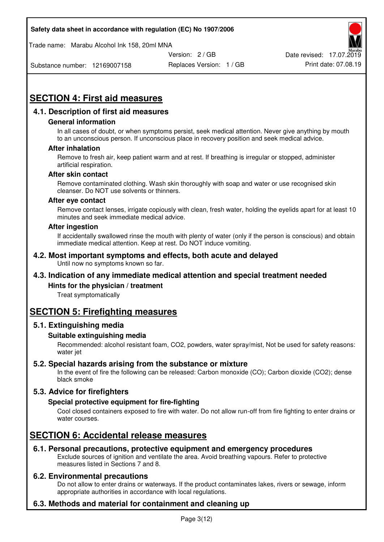Trade name: Marabu Alcohol Ink 158, 20ml MNA



Substance number: 12169007158

Replaces Version: 1 / GB Print date: 07.08.19

# **SECTION 4: First aid measures**

## **4.1. Description of first aid measures**

#### **General information**

In all cases of doubt, or when symptoms persist, seek medical attention. Never give anything by mouth to an unconscious person. If unconscious place in recovery position and seek medical advice.

#### **After inhalation**

Remove to fresh air, keep patient warm and at rest. If breathing is irregular or stopped, administer artificial respiration.

#### **After skin contact**

Remove contaminated clothing. Wash skin thoroughly with soap and water or use recognised skin cleanser. Do NOT use solvents or thinners.

#### **After eye contact**

Remove contact lenses, irrigate copiously with clean, fresh water, holding the eyelids apart for at least 10 minutes and seek immediate medical advice.

#### **After ingestion**

If accidentally swallowed rinse the mouth with plenty of water (only if the person is conscious) and obtain immediate medical attention. Keep at rest. Do NOT induce vomiting.

#### **4.2. Most important symptoms and effects, both acute and delayed**  Until now no symptoms known so far.

## **4.3. Indication of any immediate medical attention and special treatment needed**

#### **Hints for the physician / treatment**

Treat symptomatically

## **SECTION 5: Firefighting measures**

#### **5.1. Extinguishing media**

#### **Suitable extinguishing media**

Recommended: alcohol resistant foam, CO2, powders, water spray/mist, Not be used for safety reasons: water jet

#### **5.2. Special hazards arising from the substance or mixture**

In the event of fire the following can be released: Carbon monoxide (CO); Carbon dioxide (CO2); dense black smoke

## **5.3. Advice for firefighters**

#### **Special protective equipment for fire-fighting**

Cool closed containers exposed to fire with water. Do not allow run-off from fire fighting to enter drains or water courses.

## **SECTION 6: Accidental release measures**

#### **6.1. Personal precautions, protective equipment and emergency procedures**

Exclude sources of ignition and ventilate the area. Avoid breathing vapours. Refer to protective measures listed in Sections 7 and 8.

#### **6.2. Environmental precautions**

Do not allow to enter drains or waterways. If the product contaminates lakes, rivers or sewage, inform appropriate authorities in accordance with local regulations.

## **6.3. Methods and material for containment and cleaning up**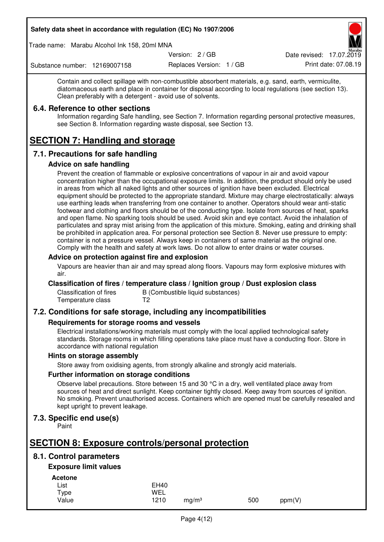Trade name: Marabu Alcohol Ink 158, 20ml MNA

Version: 2 / GB

Replaces Version: 1 / GB Print date: 07.08.19 Date revised: 17.07.2019

Substance number: 12169007158

Contain and collect spillage with non-combustible absorbent materials, e.g. sand, earth, vermiculite, diatomaceous earth and place in container for disposal according to local regulations (see section 13). Clean preferably with a detergent - avoid use of solvents.

### **6.4. Reference to other sections**

Information regarding Safe handling, see Section 7. Information regarding personal protective measures, see Section 8. Information regarding waste disposal, see Section 13.

# **SECTION 7: Handling and storage**

## **7.1. Precautions for safe handling**

#### **Advice on safe handling**

Prevent the creation of flammable or explosive concentrations of vapour in air and avoid vapour concentration higher than the occupational exposure limits. In addition, the product should only be used in areas from which all naked lights and other sources of ignition have been excluded. Electrical equipment should be protected to the appropriate standard. Mixture may charge electrostatically: always use earthing leads when transferring from one container to another. Operators should wear anti-static footwear and clothing and floors should be of the conducting type. Isolate from sources of heat, sparks and open flame. No sparking tools should be used. Avoid skin and eye contact. Avoid the inhalation of particulates and spray mist arising from the application of this mixture. Smoking, eating and drinking shall be prohibited in application area. For personal protection see Section 8. Never use pressure to empty: container is not a pressure vessel. Always keep in containers of same material as the original one. Comply with the health and safety at work laws. Do not allow to enter drains or water courses.

### **Advice on protection against fire and explosion**

Vapours are heavier than air and may spread along floors. Vapours may form explosive mixtures with air.

#### **Classification of fires / temperature class / Ignition group / Dust explosion class**

Classification of fires B (Combustible liquid substances)<br>Temperature class T2 Temperature class

## **7.2. Conditions for safe storage, including any incompatibilities**

#### **Requirements for storage rooms and vessels**

Electrical installations/working materials must comply with the local applied technological safety standards. Storage rooms in which filling operations take place must have a conducting floor. Store in accordance with national regulation

#### **Hints on storage assembly**

Store away from oxidising agents, from strongly alkaline and strongly acid materials.

#### **Further information on storage conditions**

Observe label precautions. Store between 15 and 30 °C in a dry, well ventilated place away from sources of heat and direct sunlight. Keep container tightly closed. Keep away from sources of ignition. No smoking. Prevent unauthorised access. Containers which are opened must be carefully resealed and kept upright to prevent leakage.

## **7.3. Specific end use(s)**

Paint

## **SECTION 8: Exposure controls/personal protection**

## **8.1. Control parameters**

## **Exposure limit values**

**Acetone** 

| List  | <b>EH40</b> |                   |     |        |
|-------|-------------|-------------------|-----|--------|
| Type  | WEL         |                   |     |        |
| Value | 1210        | ma/m <sup>3</sup> | 500 | ppm(V) |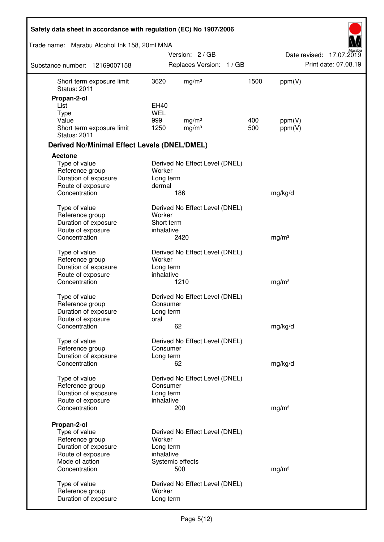| Safety data sheet in accordance with regulation (EC) No 1907/2006 |            |                                |      |                   |                          |
|-------------------------------------------------------------------|------------|--------------------------------|------|-------------------|--------------------------|
| Trade name: Marabu Alcohol Ink 158, 20ml MNA                      |            |                                |      |                   |                          |
|                                                                   |            | Version: 2/GB                  |      |                   | Date revised: 17.07.2019 |
| Substance number: 12169007158                                     |            | Replaces Version: 1 / GB       |      |                   | Print date: 07.08.19     |
| Short term exposure limit<br><b>Status: 2011</b>                  | 3620       | mg/m <sup>3</sup>              | 1500 | ppm(V)            |                          |
| Propan-2-ol                                                       |            |                                |      |                   |                          |
| List                                                              | EH40       |                                |      |                   |                          |
| <b>Type</b>                                                       | <b>WEL</b> |                                |      |                   |                          |
| Value                                                             | 999        | mg/m <sup>3</sup>              | 400  | ppm(V)            |                          |
| Short term exposure limit<br><b>Status: 2011</b>                  | 1250       | mg/m <sup>3</sup>              | 500  | ppm(V)            |                          |
| <b>Derived No/Minimal Effect Levels (DNEL/DMEL)</b>               |            |                                |      |                   |                          |
| Acetone                                                           |            |                                |      |                   |                          |
| Type of value                                                     |            | Derived No Effect Level (DNEL) |      |                   |                          |
| Reference group                                                   | Worker     |                                |      |                   |                          |
| Duration of exposure                                              | Long term  |                                |      |                   |                          |
| Route of exposure                                                 | dermal     |                                |      |                   |                          |
| Concentration                                                     |            | 186                            |      | mg/kg/d           |                          |
| Type of value                                                     |            | Derived No Effect Level (DNEL) |      |                   |                          |
| Reference group                                                   | Worker     |                                |      |                   |                          |
| Duration of exposure                                              | Short term |                                |      |                   |                          |
| Route of exposure                                                 | inhalative |                                |      |                   |                          |
| Concentration                                                     |            | 2420                           |      | mg/m <sup>3</sup> |                          |
| Type of value                                                     |            | Derived No Effect Level (DNEL) |      |                   |                          |
| Reference group                                                   | Worker     |                                |      |                   |                          |
| Duration of exposure                                              | Long term  |                                |      |                   |                          |
| Route of exposure                                                 | inhalative |                                |      |                   |                          |
| Concentration                                                     |            | 1210                           |      | mg/m <sup>3</sup> |                          |
| Type of value                                                     |            | Derived No Effect Level (DNEL) |      |                   |                          |
| Reference group                                                   | Consumer   |                                |      |                   |                          |
| Duration of exposure                                              | Long term  |                                |      |                   |                          |
| Route of exposure                                                 | oral       |                                |      |                   |                          |
| Concentration                                                     |            | 62                             |      | mg/kg/d           |                          |
| Type of value                                                     |            | Derived No Effect Level (DNEL) |      |                   |                          |
| Reference group                                                   | Consumer   |                                |      |                   |                          |
| Duration of exposure                                              | Long term  |                                |      |                   |                          |
| Concentration                                                     |            | 62                             |      | mg/kg/d           |                          |
| Type of value                                                     |            | Derived No Effect Level (DNEL) |      |                   |                          |
| Reference group                                                   | Consumer   |                                |      |                   |                          |
| Duration of exposure                                              | Long term  |                                |      |                   |                          |
| Route of exposure                                                 | inhalative |                                |      |                   |                          |
| Concentration                                                     |            | 200                            |      | mg/m <sup>3</sup> |                          |
| Propan-2-ol                                                       |            |                                |      |                   |                          |
| Type of value                                                     |            | Derived No Effect Level (DNEL) |      |                   |                          |
| Reference group                                                   | Worker     |                                |      |                   |                          |
| Duration of exposure                                              | Long term  |                                |      |                   |                          |
| Route of exposure                                                 | inhalative |                                |      |                   |                          |
| Mode of action                                                    |            | Systemic effects               |      |                   |                          |
| Concentration                                                     |            | 500                            |      | mg/m <sup>3</sup> |                          |
| Type of value                                                     |            | Derived No Effect Level (DNEL) |      |                   |                          |
| Reference group                                                   | Worker     |                                |      |                   |                          |
| Duration of exposure                                              | Long term  |                                |      |                   |                          |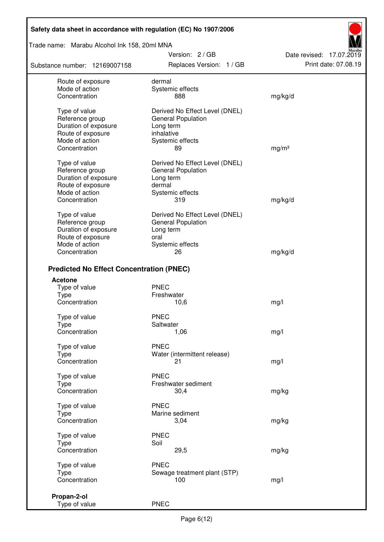Trade name: Marabu Alcohol Ink 158, 20ml MNA

Substance number: 12169007158

Version: 2 / GB Replaces Version: 1 / GB Print date: 07.08.19

Date revised: 17.07.2019

| Route of exposure<br>Mode of action<br>Concentration     | dermal<br>Systemic effects<br>888                                                      | mg/kg/d           |
|----------------------------------------------------------|----------------------------------------------------------------------------------------|-------------------|
| Type of value<br>Reference group<br>Duration of exposure | Derived No Effect Level (DNEL)<br><b>General Population</b><br>Long term<br>inhalative |                   |
| Route of exposure<br>Mode of action                      | Systemic effects                                                                       |                   |
| Concentration                                            | 89                                                                                     | mg/m <sup>3</sup> |
| Type of value                                            | Derived No Effect Level (DNEL)                                                         |                   |
| Reference group                                          | <b>General Population</b>                                                              |                   |
| Duration of exposure                                     | Long term                                                                              |                   |
| Route of exposure                                        | dermal                                                                                 |                   |
| Mode of action                                           | Systemic effects                                                                       |                   |
| Concentration                                            | 319                                                                                    | mg/kg/d           |
|                                                          |                                                                                        |                   |
| Type of value                                            | Derived No Effect Level (DNEL)                                                         |                   |
| Reference group                                          | <b>General Population</b>                                                              |                   |
| Duration of exposure                                     | Long term                                                                              |                   |
| Route of exposure                                        | oral                                                                                   |                   |
| Mode of action                                           | Systemic effects                                                                       |                   |
| Concentration                                            | 26                                                                                     | mg/kg/d           |
| <b>Predicted No Effect Concentration (PNEC)</b>          |                                                                                        |                   |
| <b>Acetone</b>                                           |                                                                                        |                   |
| Type of value                                            | <b>PNEC</b>                                                                            |                   |
| <b>Type</b>                                              | Freshwater                                                                             |                   |
| Concentration                                            | 10,6                                                                                   | mg/l              |
|                                                          |                                                                                        |                   |
| Type of value                                            | <b>PNEC</b>                                                                            |                   |
| Type                                                     | Saltwater                                                                              |                   |
| Concentration                                            | 1,06                                                                                   | mg/l              |
| Type of value                                            | <b>PNEC</b>                                                                            |                   |
| <b>Type</b>                                              | Water (intermittent release)                                                           |                   |
| Concentration                                            | 21                                                                                     | mg/l              |
| Type of value                                            | <b>PNEC</b>                                                                            |                   |
| Type                                                     | Freshwater sediment                                                                    |                   |
| Concentration                                            | 30,4                                                                                   | mg/kg             |
| Type of value                                            | <b>PNEC</b>                                                                            |                   |
| <b>Type</b>                                              | Marine sediment                                                                        |                   |
| Concentration                                            | 3,04                                                                                   | mg/kg             |
| Type of value                                            | <b>PNEC</b>                                                                            |                   |
| <b>Type</b>                                              | Soil                                                                                   |                   |
| Concentration                                            | 29,5                                                                                   | mg/kg             |
|                                                          |                                                                                        |                   |
| Type of value                                            | <b>PNEC</b>                                                                            |                   |
| Type                                                     | Sewage treatment plant (STP)                                                           |                   |
| Concentration                                            | 100                                                                                    | mg/l              |
| Propan-2-ol                                              |                                                                                        |                   |
| Type of value                                            | <b>PNEC</b>                                                                            |                   |
|                                                          |                                                                                        |                   |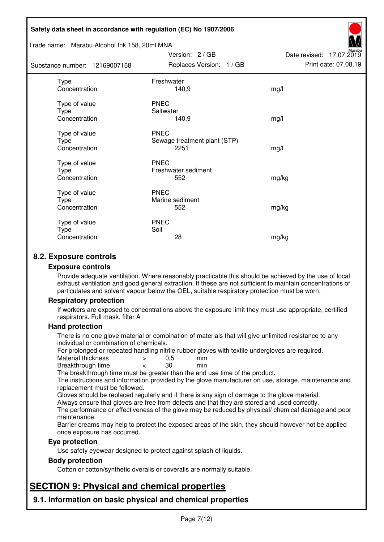#### Trade name: Marabu Alcohol Ink 158, 20ml MNA

| Substance number: 12169007158          | Replaces Version: 1 / GB                            | Print date: 07.08.19 |
|----------------------------------------|-----------------------------------------------------|----------------------|
| Type<br>Concentration                  | Freshwater<br>140,9                                 | mg/l                 |
| Type of value<br>Type<br>Concentration | <b>PNEC</b><br>Saltwater<br>140,9                   | mg/l                 |
| Type of value<br>Type<br>Concentration | <b>PNEC</b><br>Sewage treatment plant (STP)<br>2251 | mg/l                 |
| Type of value<br>Type<br>Concentration | <b>PNEC</b><br>Freshwater sediment<br>552           | mg/kg                |
| Type of value<br>Type<br>Concentration | <b>PNEC</b><br>Marine sediment<br>552               | mg/kg                |
| Type of value<br>Type<br>Concentration | <b>PNEC</b><br>Soil<br>28                           | mg/kg                |

Version: 2 / GB

Date revised: 17.07.2019

## **8.2. Exposure controls**

#### **Exposure controls**

Provide adequate ventilation. Where reasonably practicable this should be achieved by the use of local exhaust ventilation and good general extraction. If these are not sufficient to maintain concentrations of particulates and solvent vapour below the OEL, suitable respiratory protection must be worn.

#### **Respiratory protection**

If workers are exposed to concentrations above the exposure limit they must use appropriate, certified respirators. Full mask, filter A

#### **Hand protection**

There is no one glove material or combination of materials that will give unlimited resistance to any individual or combination of chemicals.

For prolonged or repeated handling nitrile rubber gloves with textile undergloves are required.<br>Material thickness  $\geq 0.5$  mm

- Material thickness  $\begin{array}{ccc} 0.5 \\ -8.5 \end{array}$  Material thickness  $\begin{array}{ccc} 0.5 \\ -8.5 \end{array}$
- Breakthrough time < 30 min

The breakthrough time must be greater than the end use time of the product.

The instructions and information provided by the glove manufacturer on use, storage, maintenance and replacement must be followed.

Gloves should be replaced regularly and if there is any sign of damage to the glove material.

Always ensure that gloves are free from defects and that they are stored and used correctly.

The performance or effectiveness of the glove may be reduced by physical/ chemical damage and poor maintenance.

Barrier creams may help to protect the exposed areas of the skin, they should however not be applied once exposure has occurred.

#### **Eye protection**

Use safety eyewear designed to protect against splash of liquids.

#### **Body protection**

Cotton or cotton/synthetic overalls or coveralls are normally suitable.

## **SECTION 9: Physical and chemical properties**

**9.1. Information on basic physical and chemical properties**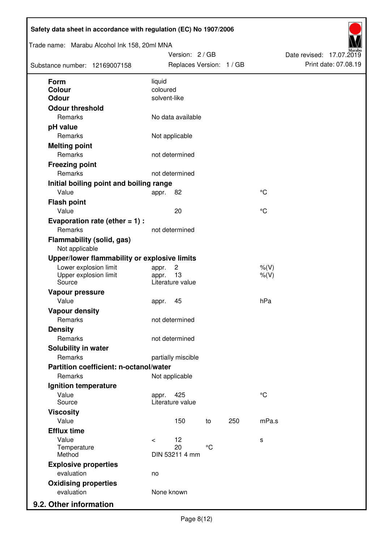| Trade name: Marabu Alcohol Ink 158, 20ml MNA<br>Substance number: 12169007158 |                          | Version: 2 / GB<br>Replaces Version: 1 / GB |                 |     |                      | Date revised: 17.07.2019 | Print date: 07.08.19 |
|-------------------------------------------------------------------------------|--------------------------|---------------------------------------------|-----------------|-----|----------------------|--------------------------|----------------------|
| <b>Form</b>                                                                   | liquid                   |                                             |                 |     |                      |                          |                      |
| Colour                                                                        | coloured<br>solvent-like |                                             |                 |     |                      |                          |                      |
| Odour                                                                         |                          |                                             |                 |     |                      |                          |                      |
| <b>Odour threshold</b><br>Remarks                                             |                          | No data available                           |                 |     |                      |                          |                      |
| pH value                                                                      |                          |                                             |                 |     |                      |                          |                      |
| Remarks                                                                       |                          | Not applicable                              |                 |     |                      |                          |                      |
| <b>Melting point</b>                                                          |                          |                                             |                 |     |                      |                          |                      |
| Remarks                                                                       |                          | not determined                              |                 |     |                      |                          |                      |
| <b>Freezing point</b>                                                         |                          |                                             |                 |     |                      |                          |                      |
| Remarks                                                                       |                          | not determined                              |                 |     |                      |                          |                      |
| Initial boiling point and boiling range                                       |                          |                                             |                 |     |                      |                          |                      |
| Value                                                                         | appr.                    | 82                                          |                 |     | $^{\circ}C$          |                          |                      |
| <b>Flash point</b>                                                            |                          |                                             |                 |     |                      |                          |                      |
| Value                                                                         |                          | 20                                          |                 |     | °C                   |                          |                      |
| Evaporation rate (ether $= 1$ ) :                                             |                          |                                             |                 |     |                      |                          |                      |
| Remarks                                                                       |                          | not determined                              |                 |     |                      |                          |                      |
| <b>Flammability (solid, gas)</b><br>Not applicable                            |                          |                                             |                 |     |                      |                          |                      |
| Upper/lower flammability or explosive limits                                  |                          |                                             |                 |     |                      |                          |                      |
| Lower explosion limit<br>Upper explosion limit<br>Source                      | appr.<br>appr.           | $\overline{c}$<br>13<br>Literature value    |                 |     | $%$ (V)<br>$%$ $(V)$ |                          |                      |
| Vapour pressure                                                               |                          |                                             |                 |     |                      |                          |                      |
| Value                                                                         | appr.                    | 45                                          |                 |     | hPa                  |                          |                      |
| <b>Vapour density</b>                                                         |                          |                                             |                 |     |                      |                          |                      |
| Remarks                                                                       |                          | not determined                              |                 |     |                      |                          |                      |
| <b>Density</b>                                                                |                          |                                             |                 |     |                      |                          |                      |
| Remarks                                                                       |                          | not determined                              |                 |     |                      |                          |                      |
| Solubility in water                                                           |                          |                                             |                 |     |                      |                          |                      |
| Remarks                                                                       |                          | partially miscible                          |                 |     |                      |                          |                      |
| Partition coefficient: n-octanol/water                                        |                          |                                             |                 |     |                      |                          |                      |
| Remarks                                                                       |                          | Not applicable                              |                 |     |                      |                          |                      |
| Ignition temperature                                                          |                          |                                             |                 |     |                      |                          |                      |
| Value<br>Source                                                               | appr.                    | 425<br>Literature value                     |                 |     | $^{\circ}C$          |                          |                      |
| <b>Viscosity</b>                                                              |                          |                                             |                 |     |                      |                          |                      |
| Value                                                                         |                          | 150                                         | to              | 250 | mPa.s                |                          |                      |
| <b>Efflux time</b>                                                            |                          |                                             |                 |     |                      |                          |                      |
| Value                                                                         | $\prec$                  | 12                                          |                 |     | s                    |                          |                      |
| Temperature<br>Method                                                         |                          | 20<br>DIN 53211 4 mm                        | $\rm ^{\circ}C$ |     |                      |                          |                      |
| <b>Explosive properties</b>                                                   |                          |                                             |                 |     |                      |                          |                      |
| evaluation                                                                    | no                       |                                             |                 |     |                      |                          |                      |
| <b>Oxidising properties</b>                                                   |                          |                                             |                 |     |                      |                          |                      |
| evaluation                                                                    | None known               |                                             |                 |     |                      |                          |                      |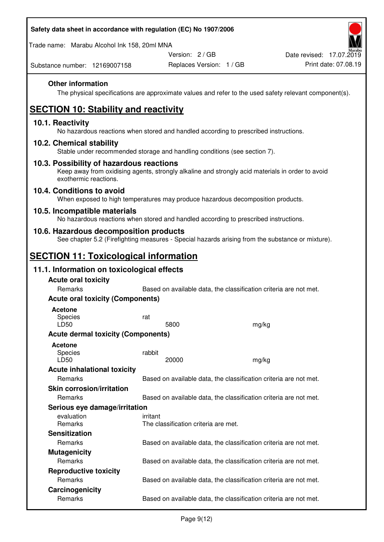Trade name: Marabu Alcohol Ink 158, 20ml MNA

Version: 2 / GB

Replaces Version: 1 / GB Print date: 07.08.19 Date revised: 17.07.2019

Substance number: 12169007158

### **Other information**

The physical specifications are approximate values and refer to the used safety relevant component(s).

# **SECTION 10: Stability and reactivity**

#### **10.1. Reactivity**

No hazardous reactions when stored and handled according to prescribed instructions.

#### **10.2. Chemical stability**

Stable under recommended storage and handling conditions (see section 7).

#### **10.3. Possibility of hazardous reactions**

Keep away from oxidising agents, strongly alkaline and strongly acid materials in order to avoid exothermic reactions.

#### **10.4. Conditions to avoid**

When exposed to high temperatures may produce hazardous decomposition products.

#### **10.5. Incompatible materials**

No hazardous reactions when stored and handled according to prescribed instructions.

### **10.6. Hazardous decomposition products**

See chapter 5.2 (Firefighting measures - Special hazards arising from the substance or mixture).

## **SECTION 11: Toxicological information**

## **11.1. Information on toxicological effects**

| <b>Acute oral toxicity</b><br>Remarks     |                                                  | Based on available data, the classification criteria are not met. |
|-------------------------------------------|--------------------------------------------------|-------------------------------------------------------------------|
| <b>Acute oral toxicity (Components)</b>   |                                                  |                                                                   |
| <b>Acetone</b><br>Species<br>LD50         | rat<br>5800                                      | mg/kg                                                             |
| <b>Acute dermal toxicity (Components)</b> |                                                  |                                                                   |
| Acetone<br>Species<br>LD50                | rabbit<br>20000                                  | mg/kg                                                             |
| <b>Acute inhalational toxicity</b>        |                                                  |                                                                   |
| <b>Remarks</b>                            |                                                  | Based on available data, the classification criteria are not met. |
| <b>Skin corrosion/irritation</b>          |                                                  |                                                                   |
| <b>Remarks</b>                            |                                                  | Based on available data, the classification criteria are not met. |
| Serious eye damage/irritation             |                                                  |                                                                   |
| evaluation<br><b>Remarks</b>              | irritant<br>The classification criteria are met. |                                                                   |
| <b>Sensitization</b>                      |                                                  |                                                                   |
| <b>Remarks</b>                            |                                                  | Based on available data, the classification criteria are not met. |
| <b>Mutagenicity</b>                       |                                                  |                                                                   |
| Remarks                                   |                                                  | Based on available data, the classification criteria are not met. |
| <b>Reproductive toxicity</b>              |                                                  |                                                                   |
| <b>Remarks</b>                            |                                                  | Based on available data, the classification criteria are not met. |
| Carcinogenicity                           |                                                  |                                                                   |
| <b>Remarks</b>                            |                                                  | Based on available data, the classification criteria are not met. |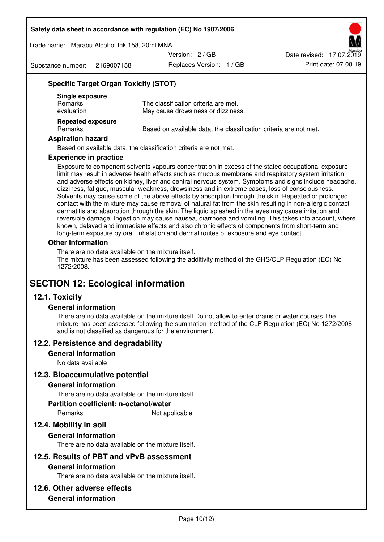Trade name: Marabu Alcohol Ink 158, 20ml MNA

Version: 2 / GB

Substance number: 12169007158

Replaces Version: 1 / GB Print date: 07.08.19 Date revised: 17.07.2019

### **Specific Target Organ Toxicity (STOT)**

| Single exposure<br><b>Remarks</b><br>evaluation | The classification criteria are met.<br>May cause drowsiness or dizziness. |
|-------------------------------------------------|----------------------------------------------------------------------------|
| <b>Repeated exposure</b><br><b>Remarks</b>      | Based on available data, the classification criteria are not met.          |

#### **Aspiration hazard**

Based on available data, the classification criteria are not met.

#### **Experience in practice**

Exposure to component solvents vapours concentration in excess of the stated occupational exposure limit may result in adverse health effects such as mucous membrane and respiratory system irritation and adverse effects on kidney, liver and central nervous system. Symptoms and signs include headache, dizziness, fatigue, muscular weakness, drowsiness and in extreme cases, loss of consciousness. Solvents may cause some of the above effects by absorption through the skin. Repeated or prolonged contact with the mixture may cause removal of natural fat from the skin resulting in non-allergic contact dermatitis and absorption through the skin. The liquid splashed in the eyes may cause irritation and reversible damage. Ingestion may cause nausea, diarrhoea and vomiting. This takes into account, where known, delayed and immediate effects and also chronic effects of components from short-term and long-term exposure by oral, inhalation and dermal routes of exposure and eye contact.

#### **Other information**

There are no data available on the mixture itself. The mixture has been assessed following the additivity method of the GHS/CLP Regulation (EC) No 1272/2008.

## **SECTION 12: Ecological information**

## **12.1. Toxicity**

#### **General information**

There are no data available on the mixture itself.Do not allow to enter drains or water courses.The mixture has been assessed following the summation method of the CLP Regulation (EC) No 1272/2008 and is not classified as dangerous for the environment.

#### **12.2. Persistence and degradability**

#### **General information**

No data available

#### **12.3. Bioaccumulative potential**

#### **General information**

There are no data available on the mixture itself.

#### **Partition coefficient: n-octanol/water**

Remarks Not applicable

## **12.4. Mobility in soil**

#### **General information**

There are no data available on the mixture itself.

#### **12.5. Results of PBT and vPvB assessment**

#### **General information**

There are no data available on the mixture itself.

#### **12.6. Other adverse effects**

#### **General information**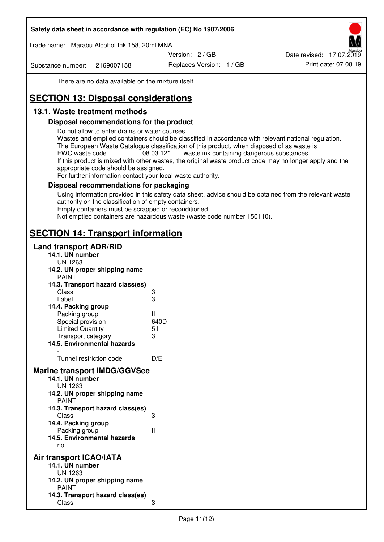Trade name: Marabu Alcohol Ink 158, 20ml MNA

Version: 2 / GB

Substance number: 12169007158

Replaces Version: 1 / GB Print date: 07.08.19 Date revised: 17.07.2019

There are no data available on the mixture itself.

# **SECTION 13: Disposal considerations**

## **13.1. Waste treatment methods**

#### **Disposal recommendations for the product**

Do not allow to enter drains or water courses.

Wastes and emptied containers should be classified in accordance with relevant national regulation. The European Waste Catalogue classification of this product, when disposed of as waste is EWC waste code  $08\,03\,12^*$  waste ink containing dangerous substances If this product is mixed with other wastes, the original waste product code may no longer apply and the appropriate code should be assigned.

For further information contact your local waste authority.

### **Disposal recommendations for packaging**

Using information provided in this safety data sheet, advice should be obtained from the relevant waste authority on the classification of empty containers. Empty containers must be scrapped or reconditioned.

Not emptied containers are hazardous waste (waste code number 150110).

## **SECTION 14: Transport information**

#### **Land transport ADR/RID**

| 14.1. UN number<br><b>UN 1263</b>                                                                                                                                                                                                            |                   |
|----------------------------------------------------------------------------------------------------------------------------------------------------------------------------------------------------------------------------------------------|-------------------|
| 14.2. UN proper shipping name                                                                                                                                                                                                                |                   |
| <b>PAINT</b>                                                                                                                                                                                                                                 |                   |
| 14.3. Transport hazard class(es)                                                                                                                                                                                                             |                   |
| Class                                                                                                                                                                                                                                        | ვ<br>ვ            |
| Label                                                                                                                                                                                                                                        |                   |
| 14.4. Packing group                                                                                                                                                                                                                          |                   |
| Packing group                                                                                                                                                                                                                                | Ш                 |
| Special provision                                                                                                                                                                                                                            | 640D              |
| <b>Limited Quantity</b>                                                                                                                                                                                                                      | 5 <sub>1</sub>    |
| Transport category                                                                                                                                                                                                                           | 3                 |
| 14.5. Environmental hazards                                                                                                                                                                                                                  |                   |
| Tunnel restriction code                                                                                                                                                                                                                      | D/E               |
| <b>Marine transport IMDG/GGVSee</b><br>14.1. UN number<br>UN 1263<br>14.2. UN proper shipping name<br><b>PAINT</b><br>14.3. Transport hazard class(es)<br>Class<br>14.4. Packing group<br>Packing group<br>14.5. Environmental hazards<br>no | 3<br>$\mathbf{I}$ |
| Air transport ICAO/IATA<br>14.1. UN number<br>UN 1263<br>14.2. UN proper shipping name<br><b>PAINT</b>                                                                                                                                       |                   |
| 14.3. Transport hazard class(es)<br>Class                                                                                                                                                                                                    | 3                 |